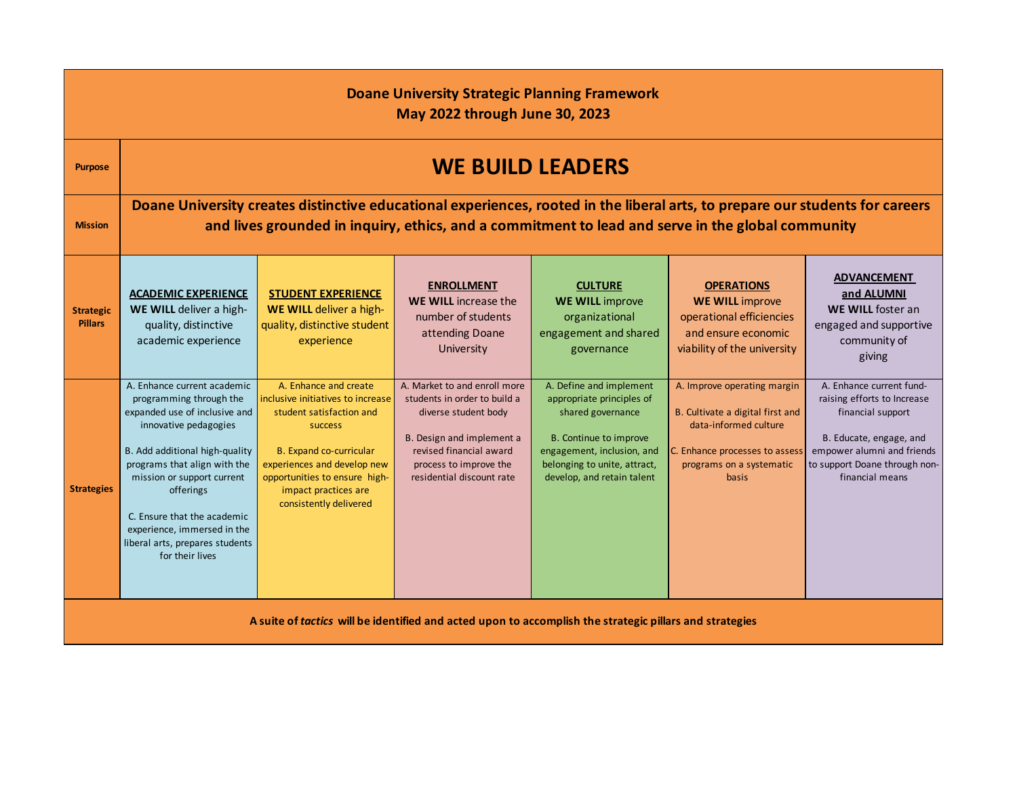| <b>Doane University Strategic Planning Framework</b><br><b>May 2022 through June 30, 2023</b>           |                                                                                                                                                                                                                                                                                                                                                   |                                                                                                                                                                                                                                                |                                                                                                                                                                                                     |                                                                                                                                                                                                 |                                                                                                                                                                        |                                                                                                                                                                                           |
|---------------------------------------------------------------------------------------------------------|---------------------------------------------------------------------------------------------------------------------------------------------------------------------------------------------------------------------------------------------------------------------------------------------------------------------------------------------------|------------------------------------------------------------------------------------------------------------------------------------------------------------------------------------------------------------------------------------------------|-----------------------------------------------------------------------------------------------------------------------------------------------------------------------------------------------------|-------------------------------------------------------------------------------------------------------------------------------------------------------------------------------------------------|------------------------------------------------------------------------------------------------------------------------------------------------------------------------|-------------------------------------------------------------------------------------------------------------------------------------------------------------------------------------------|
| <b>Purpose</b>                                                                                          | <b>WE BUILD LEADERS</b>                                                                                                                                                                                                                                                                                                                           |                                                                                                                                                                                                                                                |                                                                                                                                                                                                     |                                                                                                                                                                                                 |                                                                                                                                                                        |                                                                                                                                                                                           |
| <b>Mission</b>                                                                                          | Doane University creates distinctive educational experiences, rooted in the liberal arts, to prepare our students for careers<br>and lives grounded in inquiry, ethics, and a commitment to lead and serve in the global community                                                                                                                |                                                                                                                                                                                                                                                |                                                                                                                                                                                                     |                                                                                                                                                                                                 |                                                                                                                                                                        |                                                                                                                                                                                           |
| <b>Strategic</b><br><b>Pillars</b>                                                                      | <b>ACADEMIC EXPERIENCE</b><br>WE WILL deliver a high-<br>quality, distinctive<br>academic experience                                                                                                                                                                                                                                              | <b>STUDENT EXPERIENCE</b><br>WE WILL deliver a high-<br>quality, distinctive student<br>experience                                                                                                                                             | <b>ENROLLMENT</b><br><b>WE WILL</b> increase the<br>number of students<br>attending Doane<br>University                                                                                             | <b>CULTURE</b><br><b>WE WILL improve</b><br>organizational<br>engagement and shared<br>governance                                                                                               | <b>OPERATIONS</b><br><b>WE WILL improve</b><br>operational efficiencies<br>and ensure economic<br>viability of the university                                          | <b>ADVANCEMENT</b><br>and ALUMNI<br>WE WILL foster an<br>engaged and supportive<br>community of<br>giving                                                                                 |
| <b>Strategies</b>                                                                                       | A. Enhance current academic<br>programming through the<br>expanded use of inclusive and<br>innovative pedagogies<br>B. Add additional high-quality<br>programs that align with the<br>mission or support current<br>offerings<br>C. Ensure that the academic<br>experience, immersed in the<br>liberal arts, prepares students<br>for their lives | A. Enhance and create<br>inclusive initiatives to increase<br>student satisfaction and<br>success<br>B. Expand co-curricular<br>experiences and develop new<br>opportunities to ensure high-<br>impact practices are<br>consistently delivered | A. Market to and enroll more<br>students in order to build a<br>diverse student body<br>B. Design and implement a<br>revised financial award<br>process to improve the<br>residential discount rate | A. Define and implement<br>appropriate principles of<br>shared governance<br>B. Continue to improve<br>engagement, inclusion, and<br>belonging to unite, attract,<br>develop, and retain talent | A. Improve operating margin<br>B. Cultivate a digital first and<br>data-informed culture<br>C. Enhance processes to assess<br>programs on a systematic<br><b>basis</b> | A. Enhance current fund-<br>raising efforts to Increase<br>financial support<br>B. Educate, engage, and<br>empower alumni and friends<br>to support Doane through non-<br>financial means |
| A suite of tactics will be identified and acted upon to accomplish the strategic pillars and strategies |                                                                                                                                                                                                                                                                                                                                                   |                                                                                                                                                                                                                                                |                                                                                                                                                                                                     |                                                                                                                                                                                                 |                                                                                                                                                                        |                                                                                                                                                                                           |